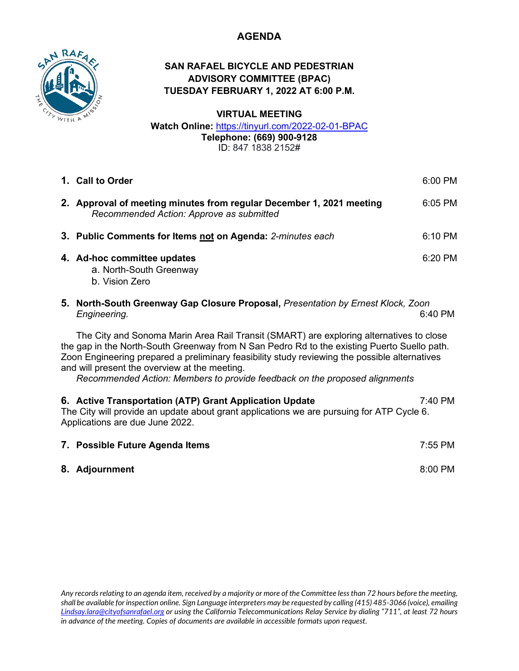# **AGENDA**



# **SAN RAFAEL BICYCLE AND PEDESTRIAN ADVISORY COMMITTEE (BPAC) TUESDAY FEBRUARY 1, 2022 AT 6:00 P.M.**

**VIRTUAL MEETING**

**Watch Online:** <https://tinyurl.com/2022-02-01-BPAC> **Telephone: (669) 900-9128** ID: 847 1838 2152#

|                                                                                                                                                                                                                                                                                                                                                                                                                        | 1. Call to Order                                                                                                 | 6:00 PM   |
|------------------------------------------------------------------------------------------------------------------------------------------------------------------------------------------------------------------------------------------------------------------------------------------------------------------------------------------------------------------------------------------------------------------------|------------------------------------------------------------------------------------------------------------------|-----------|
|                                                                                                                                                                                                                                                                                                                                                                                                                        | 2. Approval of meeting minutes from regular December 1, 2021 meeting<br>Recommended Action: Approve as submitted | 6:05 PM   |
|                                                                                                                                                                                                                                                                                                                                                                                                                        | 3. Public Comments for Items not on Agenda: 2-minutes each                                                       | 6:10 PM   |
|                                                                                                                                                                                                                                                                                                                                                                                                                        | 4. Ad-hoc committee updates<br>a. North-South Greenway<br>b. Vision Zero                                         | 6:20 PM   |
|                                                                                                                                                                                                                                                                                                                                                                                                                        | 5. North-South Greenway Gap Closure Proposal, Presentation by Ernest Klock, Zoon<br>Engineering.                 | 6:40 PM   |
| The City and Sonoma Marin Area Rail Transit (SMART) are exploring alternatives to close<br>the gap in the North-South Greenway from N San Pedro Rd to the existing Puerto Suello path.<br>Zoon Engineering prepared a preliminary feasibility study reviewing the possible alternatives<br>and will present the overview at the meeting.<br>Recommended Action: Members to provide feedback on the proposed alignments |                                                                                                                  |           |
| 6. Active Transportation (ATP) Grant Application Update<br>7:40 PM<br>The City will provide an update about grant applications we are pursuing for ATP Cycle 6.<br>Applications are due June 2022.                                                                                                                                                                                                                     |                                                                                                                  |           |
|                                                                                                                                                                                                                                                                                                                                                                                                                        | 7. Possible Future Agenda Items                                                                                  | $7:55$ PM |
|                                                                                                                                                                                                                                                                                                                                                                                                                        | 8. Adjournment                                                                                                   | 8:00 PM   |

*Any records relating to an agenda item, received by a majority or more of the Committee less than 72 hours before the meeting, shall be available for inspection online. Sign Language interpreters may be requested by calling (415) 485-3066 (voice), emailing [Lindsay.lara@cityofsanrafael.org](mailto:Lindsay.lara@cityofsanrafael.org) or using the California Telecommunications Relay Service by dialing "711", at least 72 hours in advance of the meeting. Copies of documents are available in accessible formats upon request.*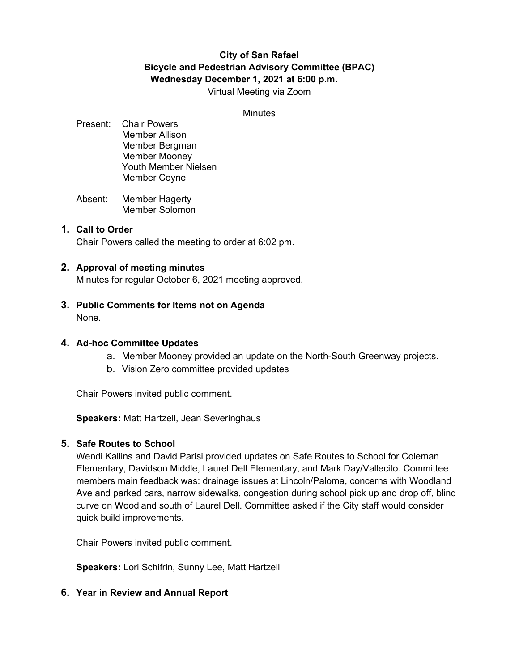# **City of San Rafael Bicycle and Pedestrian Advisory Committee (BPAC) Wednesday December 1, 2021 at 6:00 p.m.**

Virtual Meeting via Zoom

#### **Minutes**

- Present: Chair Powers Member Allison Member Bergman Member Mooney Youth Member Nielsen Member Coyne
- Absent: Member Hagerty Member Solomon

## **1. Call to Order**

Chair Powers called the meeting to order at 6:02 pm.

### **2. Approval of meeting minutes**

Minutes for regular October 6, 2021 meeting approved.

**3. Public Comments for Items not on Agenda** None.

#### **4. Ad-hoc Committee Updates**

- a. Member Mooney provided an update on the North-South Greenway projects.
- b. Vision Zero committee provided updates

Chair Powers invited public comment.

**Speakers:** Matt Hartzell, Jean Severinghaus

## **5. Safe Routes to School**

Wendi Kallins and David Parisi provided updates on Safe Routes to School for Coleman Elementary, Davidson Middle, Laurel Dell Elementary, and Mark Day/Vallecito. Committee members main feedback was: drainage issues at Lincoln/Paloma, concerns with Woodland Ave and parked cars, narrow sidewalks, congestion during school pick up and drop off, blind curve on Woodland south of Laurel Dell. Committee asked if the City staff would consider quick build improvements.

Chair Powers invited public comment.

**Speakers:** Lori Schifrin, Sunny Lee, Matt Hartzell

## **6. Year in Review and Annual Report**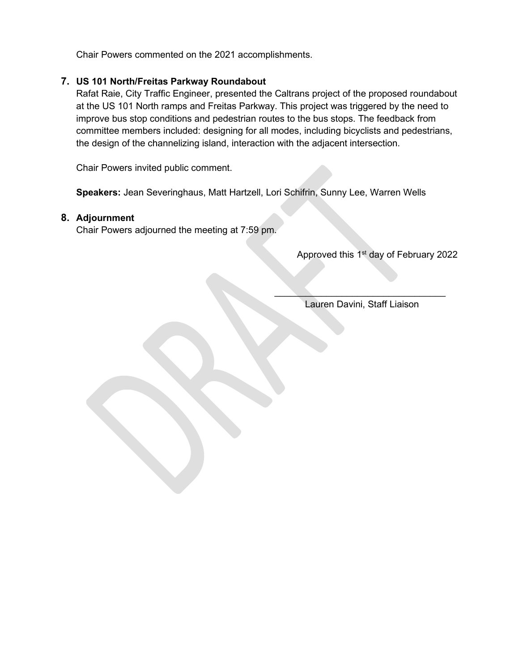Chair Powers commented on the 2021 accomplishments.

# **7. US 101 North/Freitas Parkway Roundabout**

Rafat Raie, City Traffic Engineer, presented the Caltrans project of the proposed roundabout at the US 101 North ramps and Freitas Parkway. This project was triggered by the need to improve bus stop conditions and pedestrian routes to the bus stops. The feedback from committee members included: designing for all modes, including bicyclists and pedestrians, the design of the channelizing island, interaction with the adjacent intersection.

Chair Powers invited public comment.

**Speakers:** Jean Severinghaus, Matt Hartzell, Lori Schifrin, Sunny Lee, Warren Wells

# **8. Adjournment**

Chair Powers adjourned the meeting at 7:59 pm.

Approved this 1<sup>st</sup> day of February 2022

 $\mathcal{L}=\mathcal{L}=\mathcal{L}=\mathcal{L}=\mathcal{L}=\mathcal{L}=\mathcal{L}=\mathcal{L}=\mathcal{L}=\mathcal{L}=\mathcal{L}=\mathcal{L}=\mathcal{L}=\mathcal{L}=\mathcal{L}=\mathcal{L}=\mathcal{L}=\mathcal{L}=\mathcal{L}=\mathcal{L}=\mathcal{L}=\mathcal{L}=\mathcal{L}=\mathcal{L}=\mathcal{L}=\mathcal{L}=\mathcal{L}=\mathcal{L}=\mathcal{L}=\mathcal{L}=\mathcal{L}=\mathcal{L}=\mathcal{L}=\mathcal{L}=\mathcal{L}=\mathcal{L}=\mathcal{$ Lauren Davini, Staff Liaison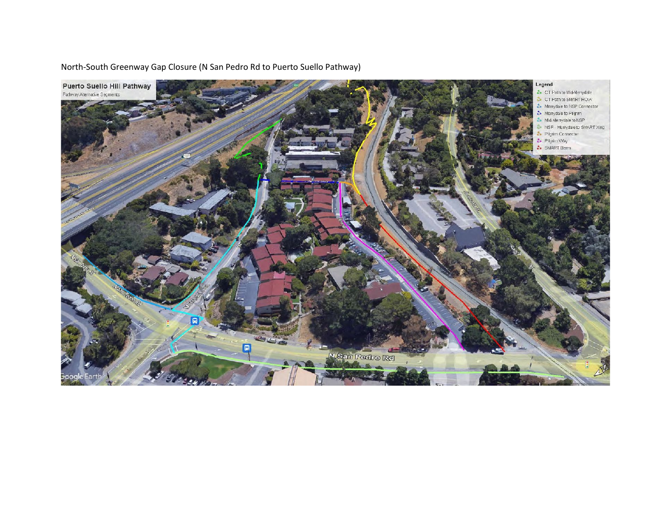Puerto Suello Hill Pathway Legend CT Path to Mid-Merrydale Pathway Alternative Segments S CT Path to SMART ROW Merrydale to NSP Connector Merrydale to Pilgrim Mid-Merrydale to NSP S NSP - Merrydale to SMART Xing **&** Pilgrim Connector Pilgrim Way SMART Bern 日  $\Box$ N San Pedro Rd

North-South Greenway Gap Closure (N San Pedro Rd to Puerto Suello Pathway)